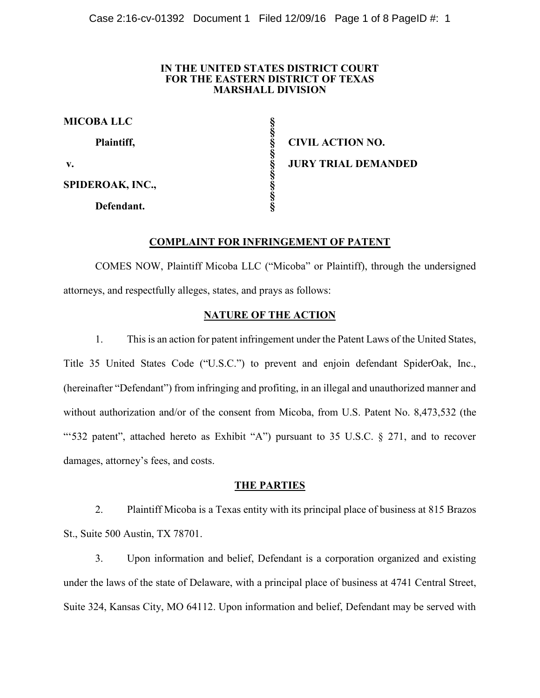#### **IN THE UNITED STATES DISTRICT COURT FOR THE EASTERN DISTRICT OF TEXAS MARSHALL DIVISION**

| <b>MICOBA LLC</b> |  |
|-------------------|--|
| Plaintiff,        |  |
| $V_{\bullet}$     |  |
| SPIDEROAK, INC.,  |  |
| Defendant.        |  |

**Plaintiff, § CIVIL ACTION NO. v. § JURY TRIAL DEMANDED**

# **COMPLAINT FOR INFRINGEMENT OF PATENT**

COMES NOW, Plaintiff Micoba LLC ("Micoba" or Plaintiff), through the undersigned attorneys, and respectfully alleges, states, and prays as follows:

# **NATURE OF THE ACTION**

1. This is an action for patent infringement under the Patent Laws of the United States, Title 35 United States Code ("U.S.C.") to prevent and enjoin defendant SpiderOak, Inc., (hereinafter "Defendant") from infringing and profiting, in an illegal and unauthorized manner and without authorization and/or of the consent from Micoba, from U.S. Patent No. 8,473,532 (the "'532 patent", attached hereto as Exhibit "A") pursuant to 35 U.S.C. § 271, and to recover damages, attorney's fees, and costs.

## **THE PARTIES**

2. Plaintiff Micoba is a Texas entity with its principal place of business at 815 Brazos St., Suite 500 Austin, TX 78701.

3. Upon information and belief, Defendant is a corporation organized and existing under the laws of the state of Delaware, with a principal place of business at 4741 Central Street, Suite 324, Kansas City, MO 64112. Upon information and belief, Defendant may be served with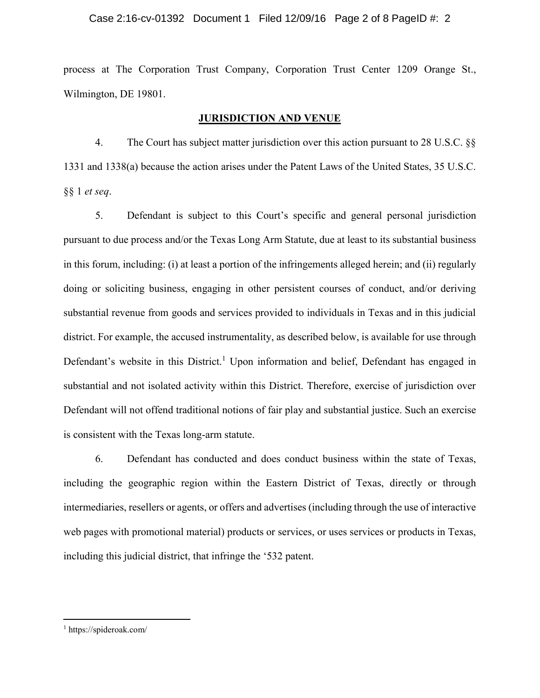#### Case 2:16-cv-01392 Document 1 Filed 12/09/16 Page 2 of 8 PageID #: 2

process at The Corporation Trust Company, Corporation Trust Center 1209 Orange St., Wilmington, DE 19801.

# **JURISDICTION AND VENUE**

4. The Court has subject matter jurisdiction over this action pursuant to 28 U.S.C. §§ 1331 and 1338(a) because the action arises under the Patent Laws of the United States, 35 U.S.C. §§ 1 *et seq*.

5. Defendant is subject to this Court's specific and general personal jurisdiction pursuant to due process and/or the Texas Long Arm Statute, due at least to its substantial business in this forum, including: (i) at least a portion of the infringements alleged herein; and (ii) regularly doing or soliciting business, engaging in other persistent courses of conduct, and/or deriving substantial revenue from goods and services provided to individuals in Texas and in this judicial district. For example, the accused instrumentality, as described below, is available for use through Defendant's website in this District.<sup>1</sup> Upon information and belief, Defendant has engaged in substantial and not isolated activity within this District. Therefore, exercise of jurisdiction over Defendant will not offend traditional notions of fair play and substantial justice. Such an exercise is consistent with the Texas long-arm statute.

6. Defendant has conducted and does conduct business within the state of Texas, including the geographic region within the Eastern District of Texas, directly or through intermediaries, resellers or agents, or offers and advertises (including through the use of interactive web pages with promotional material) products or services, or uses services or products in Texas, including this judicial district, that infringe the '532 patent.

 $\overline{a}$ 

<sup>1</sup> https://spideroak.com/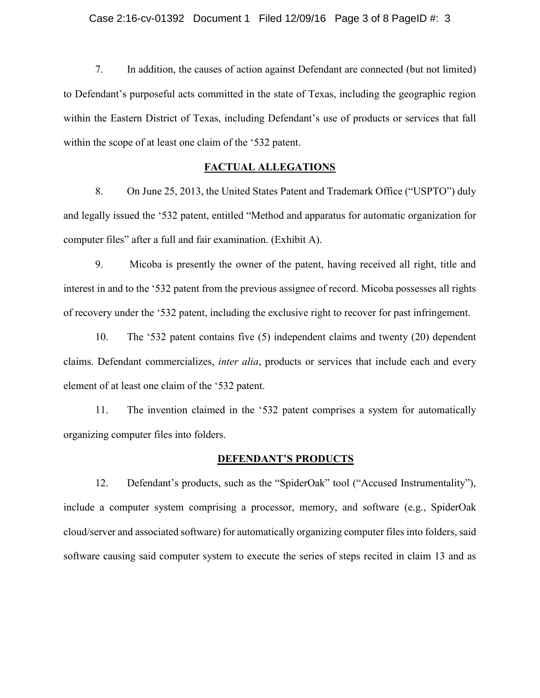7. In addition, the causes of action against Defendant are connected (but not limited) to Defendant's purposeful acts committed in the state of Texas, including the geographic region within the Eastern District of Texas, including Defendant's use of products or services that fall within the scope of at least one claim of the '532 patent.

# **FACTUAL ALLEGATIONS**

8. On June 25, 2013, the United States Patent and Trademark Office ("USPTO") duly and legally issued the '532 patent, entitled "Method and apparatus for automatic organization for computer files" after a full and fair examination. (Exhibit A).

9. Micoba is presently the owner of the patent, having received all right, title and interest in and to the '532 patent from the previous assignee of record. Micoba possesses all rights of recovery under the '532 patent, including the exclusive right to recover for past infringement.

10. The '532 patent contains five (5) independent claims and twenty (20) dependent claims. Defendant commercializes, *inter alia*, products or services that include each and every element of at least one claim of the '532 patent.

11. The invention claimed in the '532 patent comprises a system for automatically organizing computer files into folders.

#### **DEFENDANT'S PRODUCTS**

12. Defendant's products, such as the "SpiderOak" tool ("Accused Instrumentality"), include a computer system comprising a processor, memory, and software (e.g., SpiderOak cloud/server and associated software) for automatically organizing computer files into folders, said software causing said computer system to execute the series of steps recited in claim 13 and as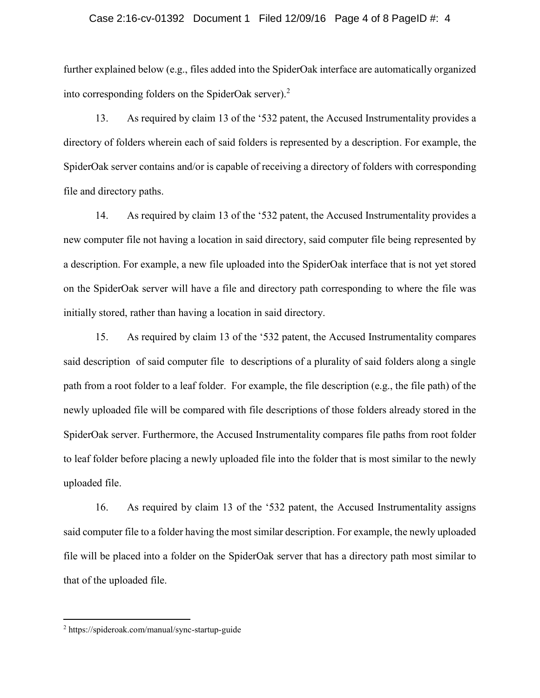#### Case 2:16-cv-01392 Document 1 Filed 12/09/16 Page 4 of 8 PageID #: 4

further explained below (e.g., files added into the SpiderOak interface are automatically organized into corresponding folders on the SpiderOak server). 2

13. As required by claim 13 of the '532 patent, the Accused Instrumentality provides a directory of folders wherein each of said folders is represented by a description. For example, the SpiderOak server contains and/or is capable of receiving a directory of folders with corresponding file and directory paths.

14. As required by claim 13 of the '532 patent, the Accused Instrumentality provides a new computer file not having a location in said directory, said computer file being represented by a description. For example, a new file uploaded into the SpiderOak interface that is not yet stored on the SpiderOak server will have a file and directory path corresponding to where the file was initially stored, rather than having a location in said directory.

15. As required by claim 13 of the '532 patent, the Accused Instrumentality compares said description of said computer file to descriptions of a plurality of said folders along a single path from a root folder to a leaf folder. For example, the file description (e.g., the file path) of the newly uploaded file will be compared with file descriptions of those folders already stored in the SpiderOak server. Furthermore, the Accused Instrumentality compares file paths from root folder to leaf folder before placing a newly uploaded file into the folder that is most similar to the newly uploaded file.

16. As required by claim 13 of the '532 patent, the Accused Instrumentality assigns said computer file to a folder having the most similar description. For example, the newly uploaded file will be placed into a folder on the SpiderOak server that has a directory path most similar to that of the uploaded file.

 $\overline{a}$ 

<sup>2</sup> https://spideroak.com/manual/sync-startup-guide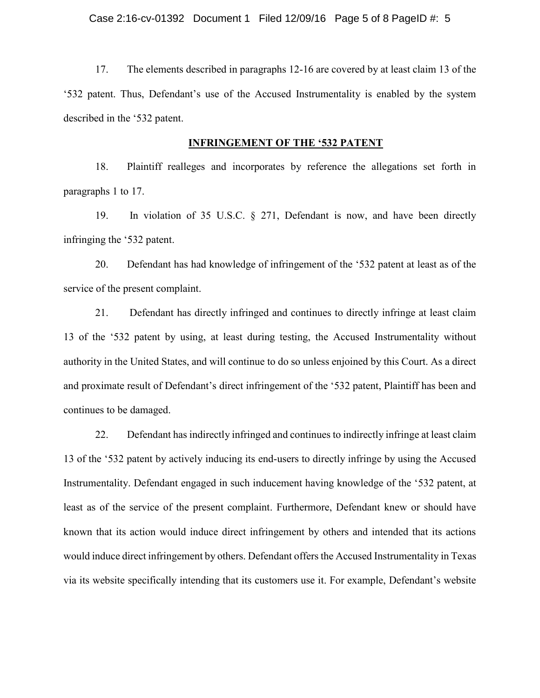17. The elements described in paragraphs 12-16 are covered by at least claim 13 of the '532 patent. Thus, Defendant's use of the Accused Instrumentality is enabled by the system described in the '532 patent.

#### **INFRINGEMENT OF THE '532 PATENT**

18. Plaintiff realleges and incorporates by reference the allegations set forth in paragraphs 1 to 17.

19. In violation of 35 U.S.C. § 271, Defendant is now, and have been directly infringing the '532 patent.

20. Defendant has had knowledge of infringement of the '532 patent at least as of the service of the present complaint.

21. Defendant has directly infringed and continues to directly infringe at least claim 13 of the '532 patent by using, at least during testing, the Accused Instrumentality without authority in the United States, and will continue to do so unless enjoined by this Court. As a direct and proximate result of Defendant's direct infringement of the '532 patent, Plaintiff has been and continues to be damaged.

22. Defendant has indirectly infringed and continues to indirectly infringe at least claim 13 of the '532 patent by actively inducing its end-users to directly infringe by using the Accused Instrumentality. Defendant engaged in such inducement having knowledge of the '532 patent, at least as of the service of the present complaint. Furthermore, Defendant knew or should have known that its action would induce direct infringement by others and intended that its actions would induce direct infringement by others. Defendant offersthe Accused Instrumentality in Texas via its website specifically intending that its customers use it. For example, Defendant's website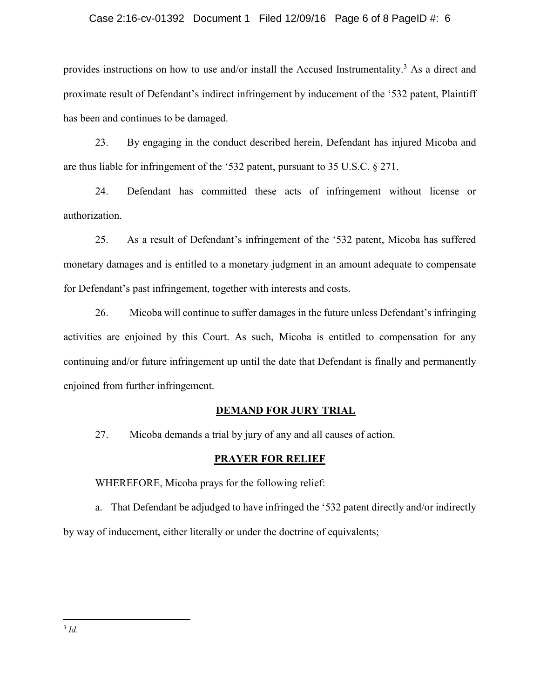#### Case 2:16-cv-01392 Document 1 Filed 12/09/16 Page 6 of 8 PageID #: 6

provides instructions on how to use and/or install the Accused Instrumentality.<sup>3</sup> As a direct and proximate result of Defendant's indirect infringement by inducement of the '532 patent, Plaintiff has been and continues to be damaged.

23. By engaging in the conduct described herein, Defendant has injured Micoba and are thus liable for infringement of the '532 patent, pursuant to 35 U.S.C. § 271.

24. Defendant has committed these acts of infringement without license or authorization.

25. As a result of Defendant's infringement of the '532 patent, Micoba has suffered monetary damages and is entitled to a monetary judgment in an amount adequate to compensate for Defendant's past infringement, together with interests and costs.

26. Micoba will continue to suffer damages in the future unless Defendant's infringing activities are enjoined by this Court. As such, Micoba is entitled to compensation for any continuing and/or future infringement up until the date that Defendant is finally and permanently enjoined from further infringement.

## **DEMAND FOR JURY TRIAL**

27. Micoba demands a trial by jury of any and all causes of action.

#### **PRAYER FOR RELIEF**

WHEREFORE, Micoba prays for the following relief:

a. That Defendant be adjudged to have infringed the '532 patent directly and/or indirectly by way of inducement, either literally or under the doctrine of equivalents;

 $\overline{a}$ 3 *Id*.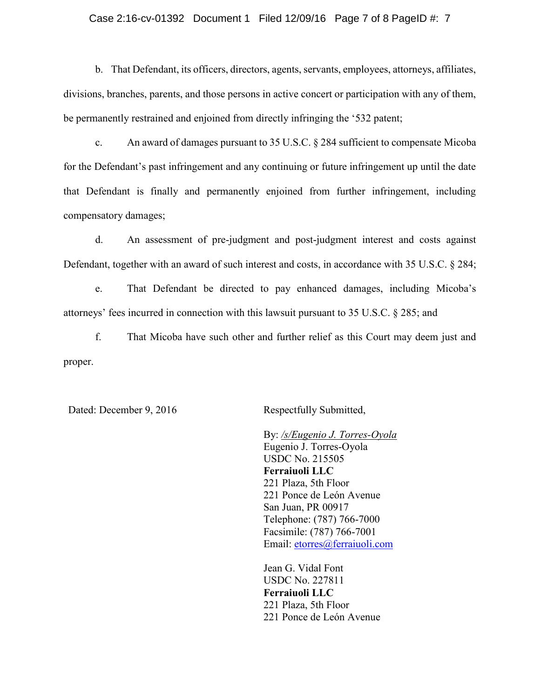#### Case 2:16-cv-01392 Document 1 Filed 12/09/16 Page 7 of 8 PageID #: 7

b. That Defendant, its officers, directors, agents, servants, employees, attorneys, affiliates, divisions, branches, parents, and those persons in active concert or participation with any of them, be permanently restrained and enjoined from directly infringing the '532 patent;

c. An award of damages pursuant to 35 U.S.C. § 284 sufficient to compensate Micoba for the Defendant's past infringement and any continuing or future infringement up until the date that Defendant is finally and permanently enjoined from further infringement, including compensatory damages;

d. An assessment of pre-judgment and post-judgment interest and costs against Defendant, together with an award of such interest and costs, in accordance with 35 U.S.C. § 284;

e. That Defendant be directed to pay enhanced damages, including Micoba's attorneys' fees incurred in connection with this lawsuit pursuant to 35 U.S.C. § 285; and

f. That Micoba have such other and further relief as this Court may deem just and proper.

Dated: December 9, 2016 Respectfully Submitted,

By: */s/Eugenio J. Torres-Oyola* Eugenio J. Torres-Oyola USDC No. 215505 **Ferraiuoli LLC**  221 Plaza, 5th Floor 221 Ponce de León Avenue San Juan, PR 00917 Telephone: (787) 766-7000 Facsimile: (787) 766-7001 Email: [etorres@ferraiuoli.com](mailto:etorres@ferraiuoli.com)

Jean G. Vidal Font USDC No. 227811 **Ferraiuoli LLC** 221 Plaza, 5th Floor 221 Ponce de León Avenue